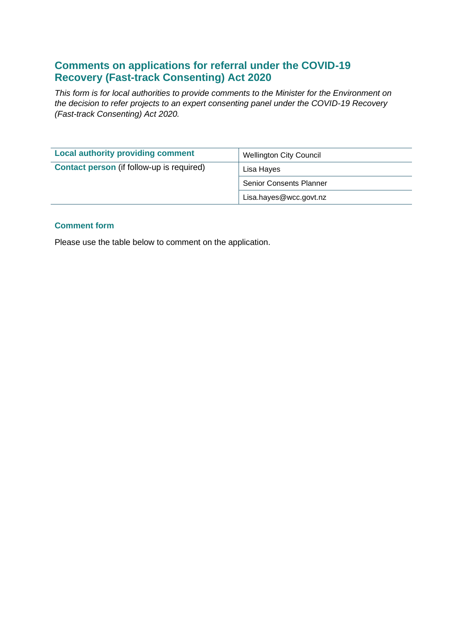# **Comments on applications for referral under the COVID-19 Recovery (Fast-track Consenting) Act 2020**

*This form is for local authorities to provide comments to the Minister for the Environment on the decision to refer projects to an expert consenting panel under the COVID-19 Recovery (Fast-track Consenting) Act 2020.* 

| <b>Local authority providing comment</b>         | <b>Wellington City Council</b> |
|--------------------------------------------------|--------------------------------|
| <b>Contact person</b> (if follow-up is required) | Lisa Hayes                     |
|                                                  | <b>Senior Consents Planner</b> |
|                                                  | Lisa.hayes@wcc.govt.nz         |

## **Comment form**

Please use the table below to comment on the application.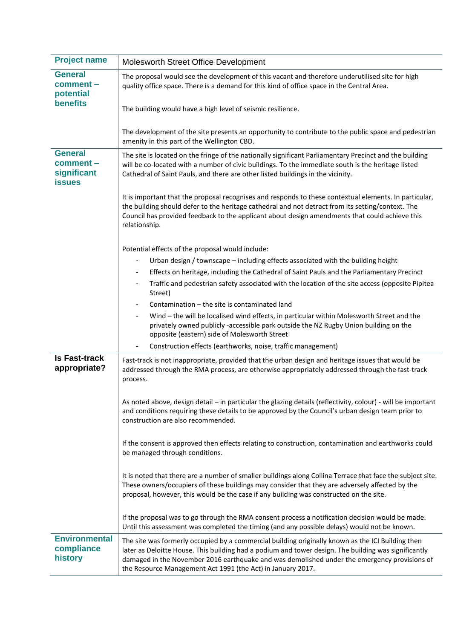| <b>Project name</b>                                         | Molesworth Street Office Development                                                                                                                                                                                                                                                                                                                                     |  |
|-------------------------------------------------------------|--------------------------------------------------------------------------------------------------------------------------------------------------------------------------------------------------------------------------------------------------------------------------------------------------------------------------------------------------------------------------|--|
| <b>General</b><br>comment -<br>potential<br><b>benefits</b> | The proposal would see the development of this vacant and therefore underutilised site for high<br>quality office space. There is a demand for this kind of office space in the Central Area.                                                                                                                                                                            |  |
|                                                             | The building would have a high level of seismic resilience.                                                                                                                                                                                                                                                                                                              |  |
|                                                             | The development of the site presents an opportunity to contribute to the public space and pedestrian<br>amenity in this part of the Wellington CBD.                                                                                                                                                                                                                      |  |
| <b>General</b><br>comment -<br>significant<br><b>issues</b> | The site is located on the fringe of the nationally significant Parliamentary Precinct and the building<br>will be co-located with a number of civic buildings. To the immediate south is the heritage listed<br>Cathedral of Saint Pauls, and there are other listed buildings in the vicinity.                                                                         |  |
|                                                             | It is important that the proposal recognises and responds to these contextual elements. In particular,<br>the building should defer to the heritage cathedral and not detract from its setting/context. The<br>Council has provided feedback to the applicant about design amendments that could achieve this<br>relationship.                                           |  |
|                                                             | Potential effects of the proposal would include:                                                                                                                                                                                                                                                                                                                         |  |
|                                                             | Urban design / townscape – including effects associated with the building height<br>$\qquad \qquad \blacksquare$                                                                                                                                                                                                                                                         |  |
|                                                             | Effects on heritage, including the Cathedral of Saint Pauls and the Parliamentary Precinct<br>$\overline{\phantom{a}}$                                                                                                                                                                                                                                                   |  |
|                                                             | Traffic and pedestrian safety associated with the location of the site access (opposite Pipitea<br>Street)                                                                                                                                                                                                                                                               |  |
|                                                             | Contamination - the site is contaminated land                                                                                                                                                                                                                                                                                                                            |  |
|                                                             | Wind - the will be localised wind effects, in particular within Molesworth Street and the<br>privately owned publicly -accessible park outside the NZ Rugby Union building on the<br>opposite (eastern) side of Molesworth Street                                                                                                                                        |  |
|                                                             | Construction effects (earthworks, noise, traffic management)<br>$\overline{\phantom{a}}$                                                                                                                                                                                                                                                                                 |  |
| <b>Is Fast-track</b><br>appropriate?                        | Fast-track is not inappropriate, provided that the urban design and heritage issues that would be<br>addressed through the RMA process, are otherwise appropriately addressed through the fast-track<br>process.                                                                                                                                                         |  |
|                                                             | As noted above, design detail - in particular the glazing details (reflectivity, colour) - will be important<br>and conditions requiring these details to be approved by the Council's urban design team prior to<br>construction are also recommended.                                                                                                                  |  |
|                                                             | If the consent is approved then effects relating to construction, contamination and earthworks could<br>be managed through conditions.                                                                                                                                                                                                                                   |  |
|                                                             | It is noted that there are a number of smaller buildings along Collina Terrace that face the subject site.<br>These owners/occupiers of these buildings may consider that they are adversely affected by the<br>proposal, however, this would be the case if any building was constructed on the site.                                                                   |  |
|                                                             | If the proposal was to go through the RMA consent process a notification decision would be made.<br>Until this assessment was completed the timing (and any possible delays) would not be known.                                                                                                                                                                         |  |
| <b>Environmental</b><br>compliance<br>history               | The site was formerly occupied by a commercial building originally known as the ICI Building then<br>later as Deloitte House. This building had a podium and tower design. The building was significantly<br>damaged in the November 2016 earthquake and was demolished under the emergency provisions of<br>the Resource Management Act 1991 (the Act) in January 2017. |  |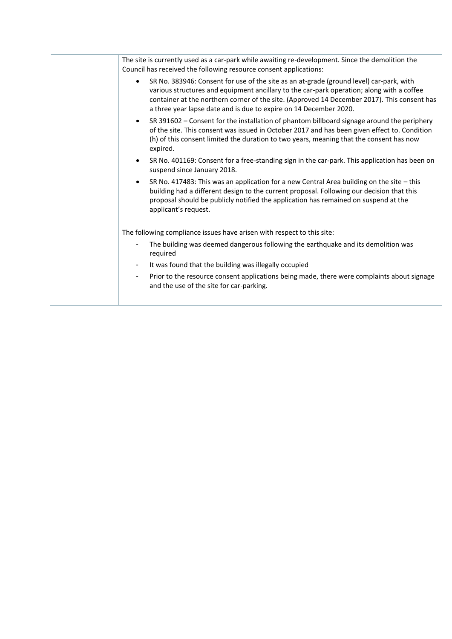|                                                                        | The site is currently used as a car-park while awaiting re-development. Since the demolition the<br>Council has received the following resource consent applications:                                                                                                                                                                                                 |  |  |
|------------------------------------------------------------------------|-----------------------------------------------------------------------------------------------------------------------------------------------------------------------------------------------------------------------------------------------------------------------------------------------------------------------------------------------------------------------|--|--|
|                                                                        | SR No. 383946: Consent for use of the site as an at-grade (ground level) car-park, with<br>$\bullet$<br>various structures and equipment ancillary to the car-park operation; along with a coffee<br>container at the northern corner of the site. (Approved 14 December 2017). This consent has<br>a three year lapse date and is due to expire on 14 December 2020. |  |  |
|                                                                        | SR 391602 - Consent for the installation of phantom billboard signage around the periphery<br>$\bullet$<br>of the site. This consent was issued in October 2017 and has been given effect to. Condition<br>(h) of this consent limited the duration to two years, meaning that the consent has now<br>expired.                                                        |  |  |
|                                                                        | SR No. 401169: Consent for a free-standing sign in the car-park. This application has been on<br>$\bullet$<br>suspend since January 2018.                                                                                                                                                                                                                             |  |  |
|                                                                        | SR No. 417483: This was an application for a new Central Area building on the site $-$ this<br>$\bullet$<br>building had a different design to the current proposal. Following our decision that this<br>proposal should be publicly notified the application has remained on suspend at the<br>applicant's request.                                                  |  |  |
| The following compliance issues have arisen with respect to this site: |                                                                                                                                                                                                                                                                                                                                                                       |  |  |
|                                                                        | The building was deemed dangerous following the earthquake and its demolition was<br>required                                                                                                                                                                                                                                                                         |  |  |
|                                                                        | It was found that the building was illegally occupied<br>۰.                                                                                                                                                                                                                                                                                                           |  |  |
|                                                                        | Prior to the resource consent applications being made, there were complaints about signage<br>٠<br>and the use of the site for car-parking.                                                                                                                                                                                                                           |  |  |
|                                                                        |                                                                                                                                                                                                                                                                                                                                                                       |  |  |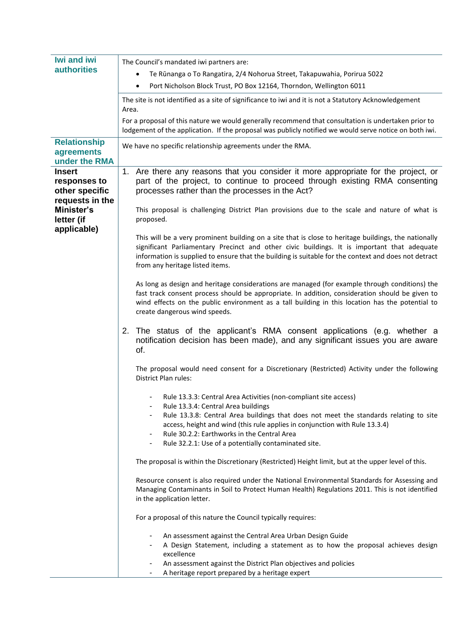| <b>Iwi and iwi</b>                                                                                            | The Council's mandated iwi partners are:                                                                                                                                                                                                                                                                                                         |  |
|---------------------------------------------------------------------------------------------------------------|--------------------------------------------------------------------------------------------------------------------------------------------------------------------------------------------------------------------------------------------------------------------------------------------------------------------------------------------------|--|
| <b>authorities</b>                                                                                            | Te Rūnanga o To Rangatira, 2/4 Nohorua Street, Takapuwahia, Porirua 5022<br>$\bullet$                                                                                                                                                                                                                                                            |  |
|                                                                                                               | Port Nicholson Block Trust, PO Box 12164, Thorndon, Wellington 6011<br>$\bullet$                                                                                                                                                                                                                                                                 |  |
|                                                                                                               | The site is not identified as a site of significance to iwi and it is not a Statutory Acknowledgement<br>Area.                                                                                                                                                                                                                                   |  |
|                                                                                                               | For a proposal of this nature we would generally recommend that consultation is undertaken prior to<br>lodgement of the application. If the proposal was publicly notified we would serve notice on both iwi.                                                                                                                                    |  |
| <b>Relationship</b><br>agreements<br>under the RMA                                                            | We have no specific relationship agreements under the RMA.                                                                                                                                                                                                                                                                                       |  |
| <b>Insert</b><br>responses to<br>other specific<br>requests in the<br>Minister's<br>letter (if<br>applicable) | Are there any reasons that you consider it more appropriate for the project, or<br>1 <sub>1</sub><br>part of the project, to continue to proceed through existing RMA consenting<br>processes rather than the processes in the Act?<br>This proposal is challenging District Plan provisions due to the scale and nature of what is<br>proposed. |  |
|                                                                                                               | This will be a very prominent building on a site that is close to heritage buildings, the nationally<br>significant Parliamentary Precinct and other civic buildings. It is important that adequate<br>information is supplied to ensure that the building is suitable for the context and does not detract<br>from any heritage listed items.   |  |
|                                                                                                               | As long as design and heritage considerations are managed (for example through conditions) the<br>fast track consent process should be appropriate. In addition, consideration should be given to<br>wind effects on the public environment as a tall building in this location has the potential to<br>create dangerous wind speeds.            |  |
|                                                                                                               | 2.<br>The status of the applicant's RMA consent applications (e.g. whether a<br>notification decision has been made), and any significant issues you are aware<br>of.                                                                                                                                                                            |  |
|                                                                                                               | The proposal would need consent for a Discretionary (Restricted) Activity under the following<br>District Plan rules:                                                                                                                                                                                                                            |  |
|                                                                                                               | Rule 13.3.3: Central Area Activities (non-compliant site access)<br>Rule 13.3.4: Central Area buildings                                                                                                                                                                                                                                          |  |
|                                                                                                               | Rule 13.3.8: Central Area buildings that does not meet the standards relating to site<br>access, height and wind (this rule applies in conjunction with Rule 13.3.4)<br>Rule 30.2.2: Earthworks in the Central Area<br>Rule 32.2.1: Use of a potentially contaminated site.                                                                      |  |
|                                                                                                               | The proposal is within the Discretionary (Restricted) Height limit, but at the upper level of this.                                                                                                                                                                                                                                              |  |
|                                                                                                               | Resource consent is also required under the National Environmental Standards for Assessing and<br>Managing Contaminants in Soil to Protect Human Health) Regulations 2011. This is not identified<br>in the application letter.                                                                                                                  |  |
|                                                                                                               | For a proposal of this nature the Council typically requires:                                                                                                                                                                                                                                                                                    |  |
|                                                                                                               | An assessment against the Central Area Urban Design Guide<br>A Design Statement, including a statement as to how the proposal achieves design<br>excellence                                                                                                                                                                                      |  |
|                                                                                                               | An assessment against the District Plan objectives and policies<br>A heritage report prepared by a heritage expert<br>٠                                                                                                                                                                                                                          |  |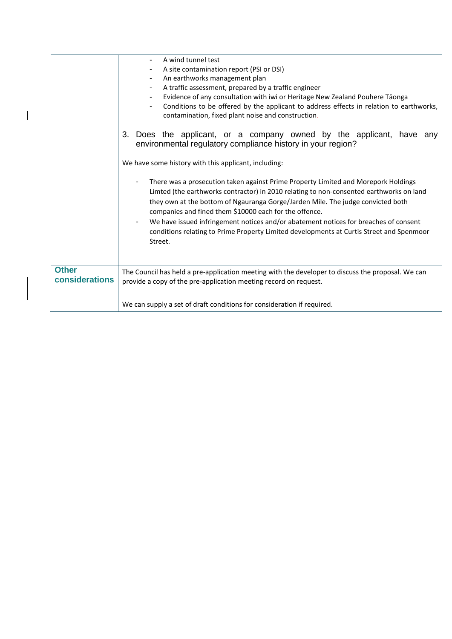|                                | A wind tunnel test<br>A site contamination report (PSI or DSI)<br>An earthworks management plan<br>$\blacksquare$<br>A traffic assessment, prepared by a traffic engineer<br>Evidence of any consultation with iwi or Heritage New Zealand Pouhere Tāonga<br>Conditions to be offered by the applicant to address effects in relation to earthworks,<br>$\blacksquare$<br>contamination, fixed plant noise and construction. |
|--------------------------------|------------------------------------------------------------------------------------------------------------------------------------------------------------------------------------------------------------------------------------------------------------------------------------------------------------------------------------------------------------------------------------------------------------------------------|
|                                | Does the applicant, or a company owned by the applicant, have any<br>3.<br>environmental regulatory compliance history in your region?                                                                                                                                                                                                                                                                                       |
|                                | We have some history with this applicant, including:                                                                                                                                                                                                                                                                                                                                                                         |
|                                | There was a prosecution taken against Prime Property Limited and Morepork Holdings<br>Limted (the earthworks contractor) in 2010 relating to non-consented earthworks on land<br>they own at the bottom of Ngauranga Gorge/Jarden Mile. The judge convicted both<br>companies and fined them \$10000 each for the offence.                                                                                                   |
|                                | We have issued infringement notices and/or abatement notices for breaches of consent<br>conditions relating to Prime Property Limited developments at Curtis Street and Spenmoor<br>Street.                                                                                                                                                                                                                                  |
| <b>Other</b><br>considerations | The Council has held a pre-application meeting with the developer to discuss the proposal. We can<br>provide a copy of the pre-application meeting record on request.                                                                                                                                                                                                                                                        |
|                                | We can supply a set of draft conditions for consideration if required.                                                                                                                                                                                                                                                                                                                                                       |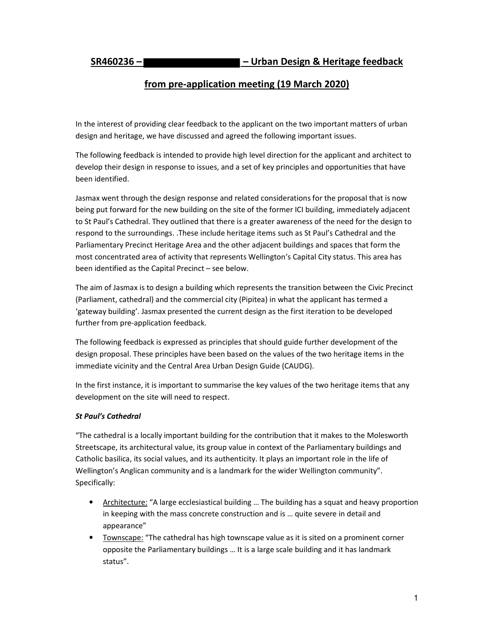# **from pre-application meeting (19 March 2020)**

In the interest of providing clear feedback to the applicant on the two important matters of urban design and heritage, we have discussed and agreed the following important issues.

The following feedback is intended to provide high level direction for the applicant and architect to develop their design in response to issues, and a set of key principles and opportunities that have been identified.

Jasmax went through the design response and related considerations for the proposal that is now being put forward for the new building on the site of the former ICI building, immediately adjacent to St Paul's Cathedral. They outlined that there is a greater awareness of the need for the design to respond to the surroundings. .These include heritage items such as St Paul's Cathedral and the Parliamentary Precinct Heritage Area and the other adjacent buildings and spaces that form the most concentrated area of activity that represents Wellington's Capital City status. This area has been identified as the Capital Precinct – see below.

The aim of Jasmax is to design a building which represents the transition between the Civic Precinct (Parliament, cathedral) and the commercial city (Pipitea) in what the applicant has termed a 'gateway building'. Jasmax presented the current design as the first iteration to be developed further from pre-application feedback.

The following feedback is expressed as principles that should guide further development of the design proposal. These principles have been based on the values of the two heritage items in the immediate vicinity and the Central Area Urban Design Guide (CAUDG).

In the first instance, it is important to summarise the key values of the two heritage items that any development on the site will need to respect.

#### *St Paul's Cathedral*

"The cathedral is a locally important building for the contribution that it makes to the Molesworth Streetscape, its architectural value, its group value in context of the Parliamentary buildings and Catholic basilica, its social values, and its authenticity. It plays an important role in the life of Wellington's Anglican community and is a landmark for the wider Wellington community". Specifically:

- Architecture: "A large ecclesiastical building ... The building has a squat and heavy proportion in keeping with the mass concrete construction and is … quite severe in detail and appearance"
- Townscape: "The cathedral has high townscape value as it is sited on a prominent corner opposite the Parliamentary buildings … It is a large scale building and it has landmark status".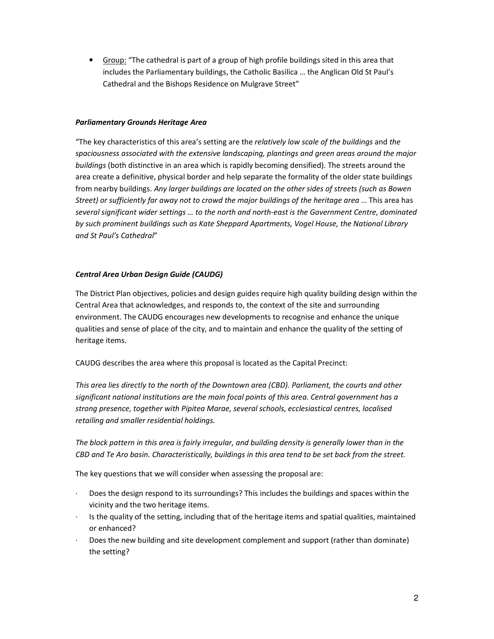• Group: "The cathedral is part of a group of high profile buildings sited in this area that includes the Parliamentary buildings, the Catholic Basilica … the Anglican Old St Paul's Cathedral and the Bishops Residence on Mulgrave Street"

#### *Parliamentary Grounds Heritage Area*

"The key characteristics of this area's setting are the *relatively low scale of the buildings* and *the spaciousness associated with the extensive landscaping, plantings and green areas around the major buildings* (both distinctive in an area which is rapidly becoming densified). The streets around the area create a definitive, physical border and help separate the formality of the older state buildings from nearby buildings. *Any larger buildings are located on the other sides of streets (such as Bowen Street) or sufficiently far away not to crowd the major buildings of the heritage area* … This area has *several significant wider settings … to the north and north-east is the Government Centre, dominated by such prominent buildings such as Kate Sheppard Apartments, Vogel House, the National Library and St Paul's Cathedral*"

## *Central Area Urban Design Guide (CAUDG)*

The District Plan objectives, policies and design guides require high quality building design within the Central Area that acknowledges, and responds to, the context of the site and surrounding environment. The CAUDG encourages new developments to recognise and enhance the unique qualities and sense of place of the city, and to maintain and enhance the quality of the setting of heritage items.

CAUDG describes the area where this proposal is located as the Capital Precinct:

*This area lies directly to the north of the Downtown area (CBD). Parliament, the courts and other significant national institutions are the main focal points of this area. Central government has a strong presence, together with Pipitea Marae, several schools, ecclesiastical centres, localised retailing and smaller residential holdings.* 

*The block pattern in this area is fairly irregular, and building density is generally lower than in the CBD and Te Aro basin. Characteristically, buildings in this area tend to be set back from the street.* 

The key questions that we will consider when assessing the proposal are:

- · Does the design respond to its surroundings? This includes the buildings and spaces within the vicinity and the two heritage items.
- · Is the quality of the setting, including that of the heritage items and spatial qualities, maintained or enhanced?
- · Does the new building and site development complement and support (rather than dominate) the setting?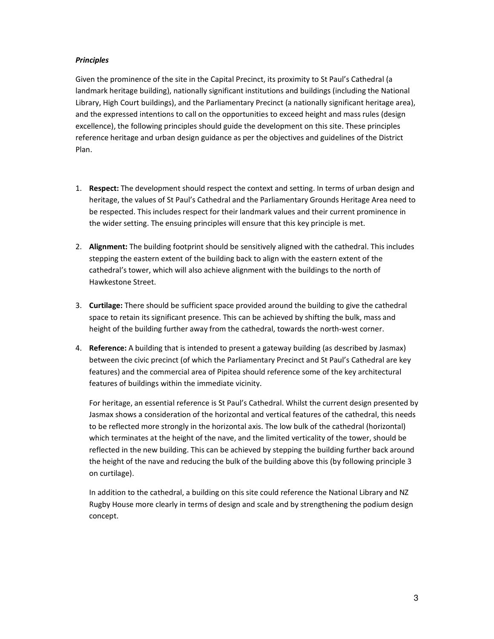## *Principles*

Given the prominence of the site in the Capital Precinct, its proximity to St Paul's Cathedral (a landmark heritage building), nationally significant institutions and buildings (including the National Library, High Court buildings), and the Parliamentary Precinct (a nationally significant heritage area), and the expressed intentions to call on the opportunities to exceed height and mass rules (design excellence), the following principles should guide the development on this site. These principles reference heritage and urban design guidance as per the objectives and guidelines of the District Plan.

- 1. **Respect:** The development should respect the context and setting. In terms of urban design and heritage, the values of St Paul's Cathedral and the Parliamentary Grounds Heritage Area need to be respected. This includes respect for their landmark values and their current prominence in the wider setting. The ensuing principles will ensure that this key principle is met.
- 2. **Alignment:** The building footprint should be sensitively aligned with the cathedral. This includes stepping the eastern extent of the building back to align with the eastern extent of the cathedral's tower, which will also achieve alignment with the buildings to the north of Hawkestone Street.
- 3. **Curtilage:** There should be sufficient space provided around the building to give the cathedral space to retain its significant presence. This can be achieved by shifting the bulk, mass and height of the building further away from the cathedral, towards the north-west corner.
- 4. **Reference:** A building that is intended to present a gateway building (as described by Jasmax) between the civic precinct (of which the Parliamentary Precinct and St Paul's Cathedral are key features) and the commercial area of Pipitea should reference some of the key architectural features of buildings within the immediate vicinity.

For heritage, an essential reference is St Paul's Cathedral. Whilst the current design presented by Jasmax shows a consideration of the horizontal and vertical features of the cathedral, this needs to be reflected more strongly in the horizontal axis. The low bulk of the cathedral (horizontal) which terminates at the height of the nave, and the limited verticality of the tower, should be reflected in the new building. This can be achieved by stepping the building further back around the height of the nave and reducing the bulk of the building above this (by following principle 3 on curtilage).

In addition to the cathedral, a building on this site could reference the National Library and NZ Rugby House more clearly in terms of design and scale and by strengthening the podium design concept.